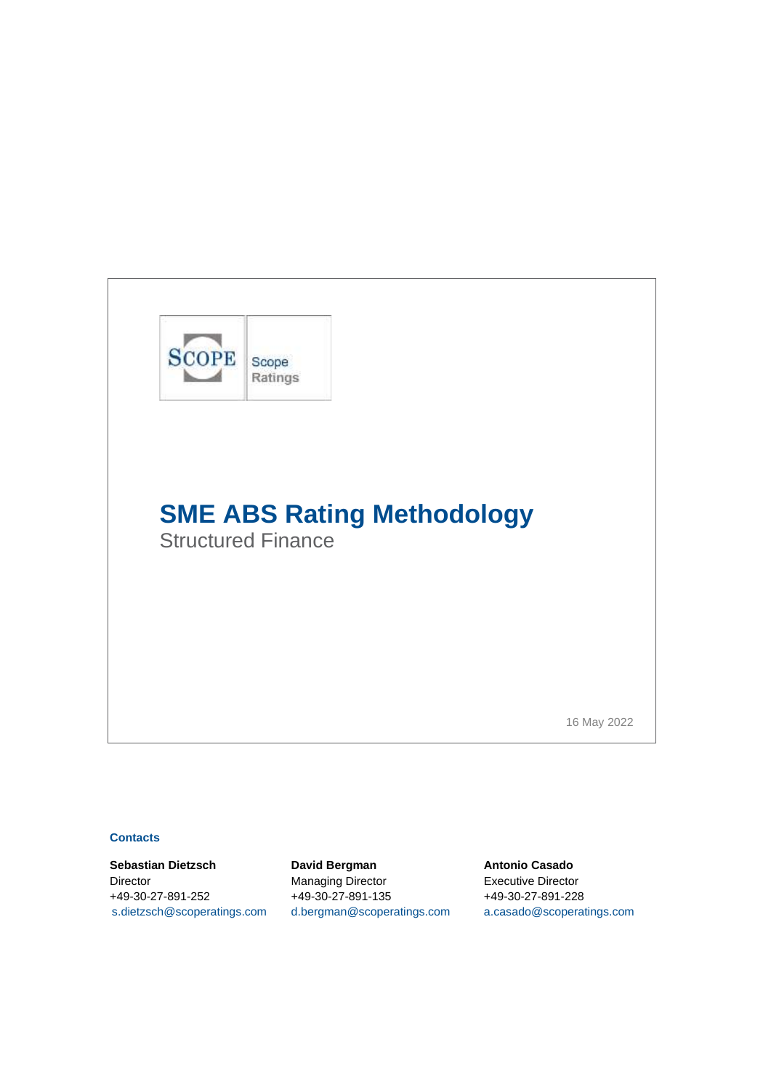

## **Contacts**

**Sebastian Dietzsch David Bergman Antonio Casado** Director Managing Director Executive Director +49-30-27-891-252 +49-30-27-891-135 +49-30-27-891-228 [s.dietzsch@scoperatings.com](mailto:s.dietzsch@scoperatings.com) [d.bergman@scoperatings.com](mailto:d.bergman@scoperatings.com) [a.casado@scoperatings.com](mailto:a.casado@scoperatings.com)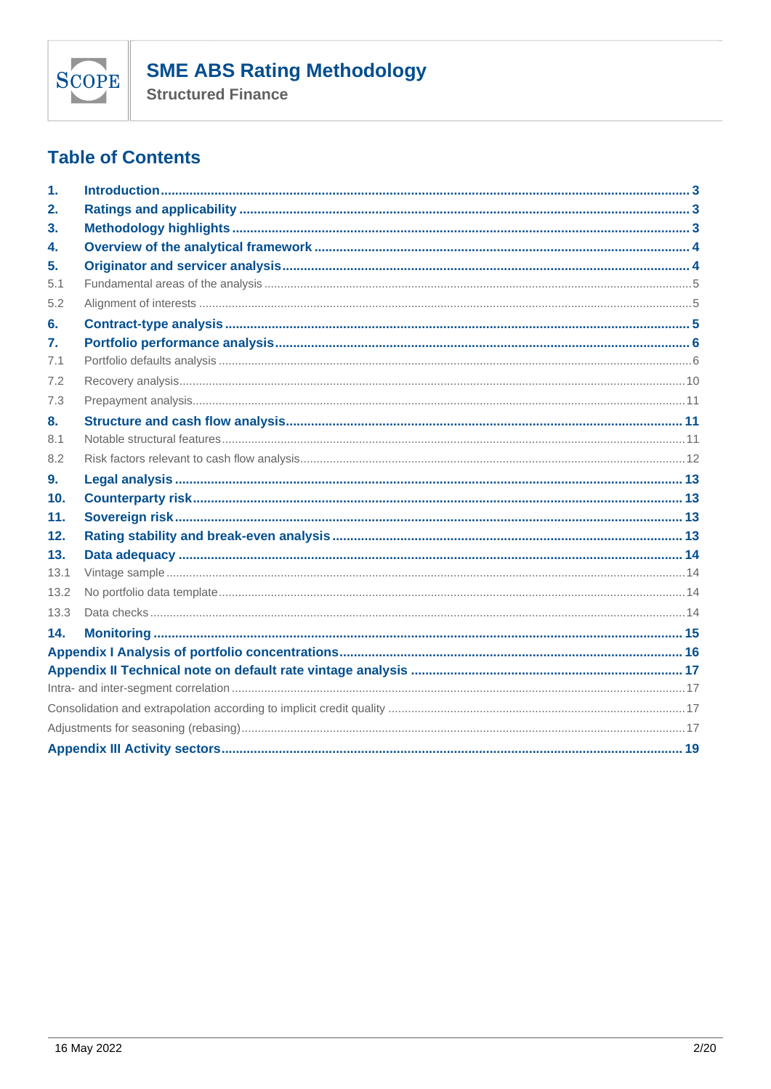

**Structured Finance** 

# **Table of Contents**

| $\mathbf{1}$ .  |  |  |  |
|-----------------|--|--|--|
| 2.              |  |  |  |
| 3.              |  |  |  |
| 4.              |  |  |  |
| 5.              |  |  |  |
| 5.1             |  |  |  |
| 5.2             |  |  |  |
| 6.              |  |  |  |
| 7.              |  |  |  |
| 7.1             |  |  |  |
| 7.2             |  |  |  |
| 7.3             |  |  |  |
| 8.              |  |  |  |
| 8.1             |  |  |  |
| 8.2             |  |  |  |
| 9.              |  |  |  |
| 10 <sub>1</sub> |  |  |  |
| 11.             |  |  |  |
| 12.             |  |  |  |
| 13.             |  |  |  |
| 13.1            |  |  |  |
| 13.2            |  |  |  |
| 13.3            |  |  |  |
| 14.             |  |  |  |
|                 |  |  |  |
|                 |  |  |  |
|                 |  |  |  |
|                 |  |  |  |
|                 |  |  |  |
|                 |  |  |  |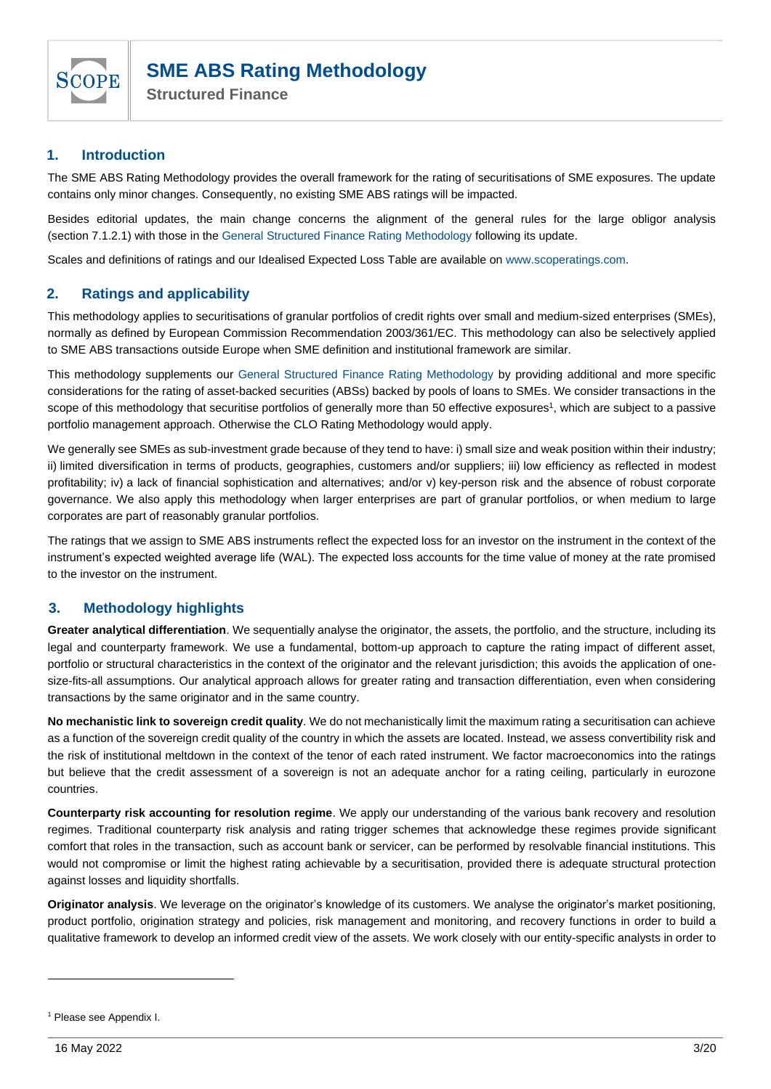

## <span id="page-2-0"></span>**1. Introduction**

The SME ABS Rating Methodology provides the overall framework for the rating of securitisations of SME exposures. The update contains only minor changes. Consequently, no existing SME ABS ratings will be impacted.

Besides editorial updates, the main change concerns the alignment of the general rules for the large obligor analysis (section [7.1.2.1\)](#page-6-0) with those in the [General Structured Finance Rating Methodology](https://www.scoperatings.com/ScopeRatingsApi/api/downloadmethodology?id=8f6dc4fe-71e6-4946-bc27-3e84585c0a38) following its update.

Scales and definitions of ratings and our Idealised Expected Loss Table are available o[n www.scoperatings.com.](http://www.scoperatings.com/)

## <span id="page-2-1"></span>**2. Ratings and applicability**

This methodology applies to securitisations of granular portfolios of credit rights over small and medium-sized enterprises (SMEs), normally as defined by European Commission Recommendation 2003/361/EC. This methodology can also be selectively applied to SME ABS transactions outside Europe when SME definition and institutional framework are similar.

This methodology supplements our [General Structured Finance Rating Methodology](https://www.scoperatings.com/ScopeRatingsApi/api/downloadmethodology?id=8f6dc4fe-71e6-4946-bc27-3e84585c0a38) by providing additional and more specific considerations for the rating of asset-backed securities (ABSs) backed by pools of loans to SMEs. We consider transactions in the scope of this methodology that securitise portfolios of generally more than 50 effective exposures<sup>1</sup>, which are subject to a passive portfolio management approach. Otherwise the CLO Rating Methodology would apply.

We generally see SMEs as sub-investment grade because of they tend to have: i) small size and weak position within their industry; ii) limited diversification in terms of products, geographies, customers and/or suppliers; iii) low efficiency as reflected in modest profitability; iv) a lack of financial sophistication and alternatives; and/or v) key-person risk and the absence of robust corporate governance. We also apply this methodology when larger enterprises are part of granular portfolios, or when medium to large corporates are part of reasonably granular portfolios.

The ratings that we assign to SME ABS instruments reflect the expected loss for an investor on the instrument in the context of the instrument's expected weighted average life (WAL). The expected loss accounts for the time value of money at the rate promised to the investor on the instrument.

## <span id="page-2-2"></span>**3. Methodology highlights**

**Greater analytical differentiation**. We sequentially analyse the originator, the assets, the portfolio, and the structure, including its legal and counterparty framework. We use a fundamental, bottom-up approach to capture the rating impact of different asset, portfolio or structural characteristics in the context of the originator and the relevant jurisdiction; this avoids the application of onesize-fits-all assumptions. Our analytical approach allows for greater rating and transaction differentiation, even when considering transactions by the same originator and in the same country.

**No mechanistic link to sovereign credit quality**. We do not mechanistically limit the maximum rating a securitisation can achieve as a function of the sovereign credit quality of the country in which the assets are located. Instead, we assess convertibility risk and the risk of institutional meltdown in the context of the tenor of each rated instrument. We factor macroeconomics into the ratings but believe that the credit assessment of a sovereign is not an adequate anchor for a rating ceiling, particularly in eurozone countries.

**Counterparty risk accounting for resolution regime**. We apply our understanding of the various bank recovery and resolution regimes. Traditional counterparty risk analysis and rating trigger schemes that acknowledge these regimes provide significant comfort that roles in the transaction, such as account bank or servicer, can be performed by resolvable financial institutions. This would not compromise or limit the highest rating achievable by a securitisation, provided there is adequate structural protection against losses and liquidity shortfalls.

**Originator analysis**. We leverage on the originator's knowledge of its customers. We analyse the originator's market positioning, product portfolio, origination strategy and policies, risk management and monitoring, and recovery functions in order to build a qualitative framework to develop an informed credit view of the assets. We work closely with our entity-specific analysts in order to

<sup>1</sup> Please se[e Appendix I.](#page-15-0)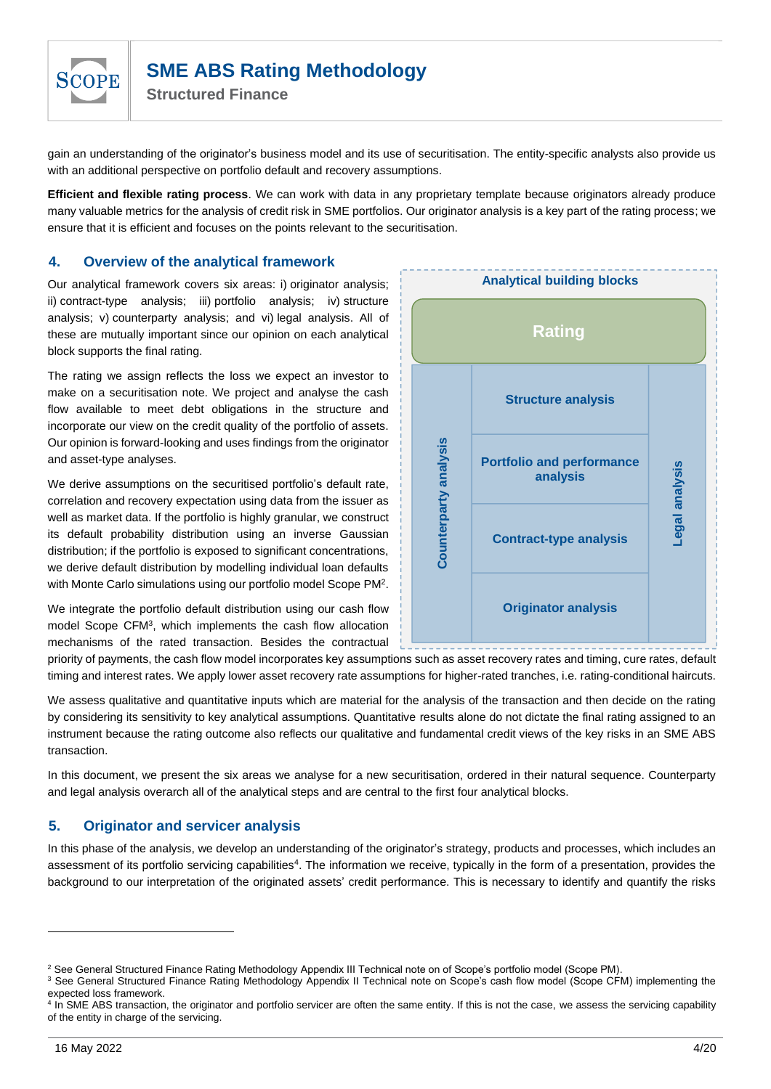

gain an understanding of the originator's business model and its use of securitisation. The entity-specific analysts also provide us with an additional perspective on portfolio default and recovery assumptions.

**Efficient and flexible rating process**. We can work with data in any proprietary template because originators already produce many valuable metrics for the analysis of credit risk in SME portfolios. Our originator analysis is a key part of the rating process; we ensure that it is efficient and focuses on the points relevant to the securitisation.

## <span id="page-3-0"></span>**4. Overview of the analytical framework**

Our analytical framework covers six areas: i) originator analysis; ii) contract-type analysis; iii) portfolio analysis; iv) structure analysis; v) counterparty analysis; and vi) legal analysis. All of these are mutually important since our opinion on each analytical block supports the final rating.

The rating we assign reflects the loss we expect an investor to make on a securitisation note. We project and analyse the cash flow available to meet debt obligations in the structure and incorporate our view on the credit quality of the portfolio of assets. Our opinion is forward-looking and uses findings from the originator and asset-type analyses.

We derive assumptions on the securitised portfolio's default rate, correlation and recovery expectation using data from the issuer as well as market data. If the portfolio is highly granular, we construct its default probability distribution using an inverse Gaussian distribution; if the portfolio is exposed to significant concentrations, we derive default distribution by modelling individual loan defaults with Monte Carlo simulations using our portfolio model Scope PM<sup>2</sup>.

We integrate the portfolio default distribution using our cash flow model Scope CFM<sup>3</sup> , which implements the cash flow allocation mechanisms of the rated transaction. Besides the contractual



priority of payments, the cash flow model incorporates key assumptions such as asset recovery rates and timing, cure rates, default timing and interest rates. We apply lower asset recovery rate assumptions for higher-rated tranches, i.e. rating-conditional haircuts.

We assess qualitative and quantitative inputs which are material for the analysis of the transaction and then decide on the rating by considering its sensitivity to key analytical assumptions. Quantitative results alone do not dictate the final rating assigned to an instrument because the rating outcome also reflects our qualitative and fundamental credit views of the key risks in an SME ABS transaction.

In this document, we present the six areas we analyse for a new securitisation, ordered in their natural sequence. Counterparty and legal analysis overarch all of the analytical steps and are central to the first four analytical blocks.

## <span id="page-3-1"></span>**5. Originator and servicer analysis**

In this phase of the analysis, we develop an understanding of the originator's strategy, products and processes, which includes an assessment of its portfolio servicing capabilities<sup>4</sup>. The information we receive, typically in the form of a presentation, provides the background to our interpretation of the originated assets' credit performance. This is necessary to identify and quantify the risks

<sup>&</sup>lt;sup>2</sup> See General Structured Finance Rating Methodology Appendix III Technical note on of Scope's portfolio model (Scope PM).

<sup>&</sup>lt;sup>3</sup> See General Structured Finance Rating Methodology Appendix II Technical note on Scope's cash flow model (Scope CFM) implementing the expected loss framework.

<sup>&</sup>lt;sup>4</sup> In SME ABS transaction, the originator and portfolio servicer are often the same entity. If this is not the case, we assess the servicing capability of the entity in charge of the servicing.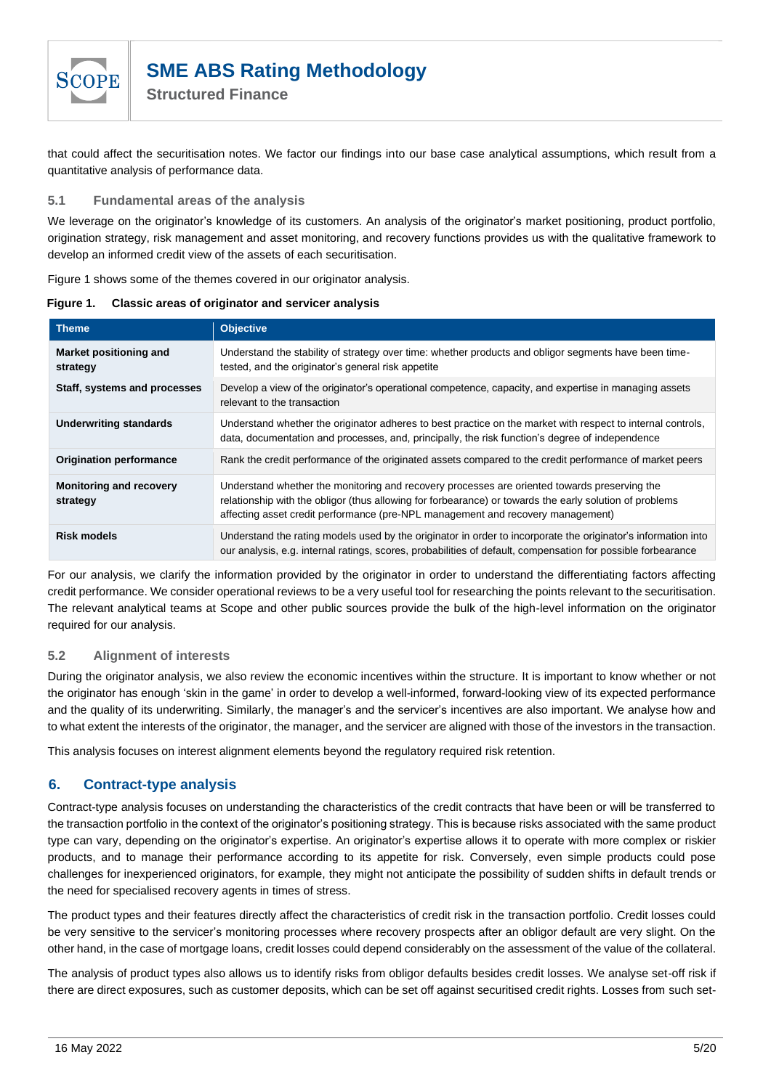

that could affect the securitisation notes. We factor our findings into our base case analytical assumptions, which result from a quantitative analysis of performance data.

#### <span id="page-4-0"></span>**5.1 Fundamental areas of the analysis**

We leverage on the originator's knowledge of its customers. An analysis of the originator's market positioning, product portfolio, origination strategy, risk management and asset monitoring, and recovery functions provides us with the qualitative framework to develop an informed credit view of the assets of each securitisation.

[Figure 1](#page-4-3) shows some of the themes covered in our originator analysis.

<span id="page-4-3"></span>**Figure 1. Classic areas of originator and servicer analysis**

| <b>Theme</b>                               | <b>Objective</b>                                                                                                                                                                                                                                                                           |
|--------------------------------------------|--------------------------------------------------------------------------------------------------------------------------------------------------------------------------------------------------------------------------------------------------------------------------------------------|
| Market positioning and<br>strategy         | Understand the stability of strategy over time: whether products and obligor segments have been time-<br>tested, and the originator's general risk appetite                                                                                                                                |
| Staff, systems and processes               | Develop a view of the originator's operational competence, capacity, and expertise in managing assets<br>relevant to the transaction                                                                                                                                                       |
| <b>Underwriting standards</b>              | Understand whether the originator adheres to best practice on the market with respect to internal controls,<br>data, documentation and processes, and, principally, the risk function's degree of independence                                                                             |
| <b>Origination performance</b>             | Rank the credit performance of the originated assets compared to the credit performance of market peers                                                                                                                                                                                    |
| <b>Monitoring and recovery</b><br>strategy | Understand whether the monitoring and recovery processes are oriented towards preserving the<br>relationship with the obligor (thus allowing for forbearance) or towards the early solution of problems<br>affecting asset credit performance (pre-NPL management and recovery management) |
| <b>Risk models</b>                         | Understand the rating models used by the originator in order to incorporate the originator's information into<br>our analysis, e.g. internal ratings, scores, probabilities of default, compensation for possible forbearance                                                              |

For our analysis, we clarify the information provided by the originator in order to understand the differentiating factors affecting credit performance. We consider operational reviews to be a very useful tool for researching the points relevant to the securitisation. The relevant analytical teams at Scope and other public sources provide the bulk of the high-level information on the originator required for our analysis.

#### <span id="page-4-1"></span>**5.2 Alignment of interests**

During the originator analysis, we also review the economic incentives within the structure. It is important to know whether or not the originator has enough 'skin in the game' in order to develop a well-informed, forward-looking view of its expected performance and the quality of its underwriting. Similarly, the manager's and the servicer's incentives are also important. We analyse how and to what extent the interests of the originator, the manager, and the servicer are aligned with those of the investors in the transaction.

This analysis focuses on interest alignment elements beyond the regulatory required risk retention.

## <span id="page-4-2"></span>**6. Contract-type analysis**

Contract-type analysis focuses on understanding the characteristics of the credit contracts that have been or will be transferred to the transaction portfolio in the context of the originator's positioning strategy. This is because risks associated with the same product type can vary, depending on the originator's expertise. An originator's expertise allows it to operate with more complex or riskier products, and to manage their performance according to its appetite for risk. Conversely, even simple products could pose challenges for inexperienced originators, for example, they might not anticipate the possibility of sudden shifts in default trends or the need for specialised recovery agents in times of stress.

The product types and their features directly affect the characteristics of credit risk in the transaction portfolio. Credit losses could be very sensitive to the servicer's monitoring processes where recovery prospects after an obligor default are very slight. On the other hand, in the case of mortgage loans, credit losses could depend considerably on the assessment of the value of the collateral.

The analysis of product types also allows us to identify risks from obligor defaults besides credit losses. We analyse set-off risk if there are direct exposures, such as customer deposits, which can be set off against securitised credit rights. Losses from such set-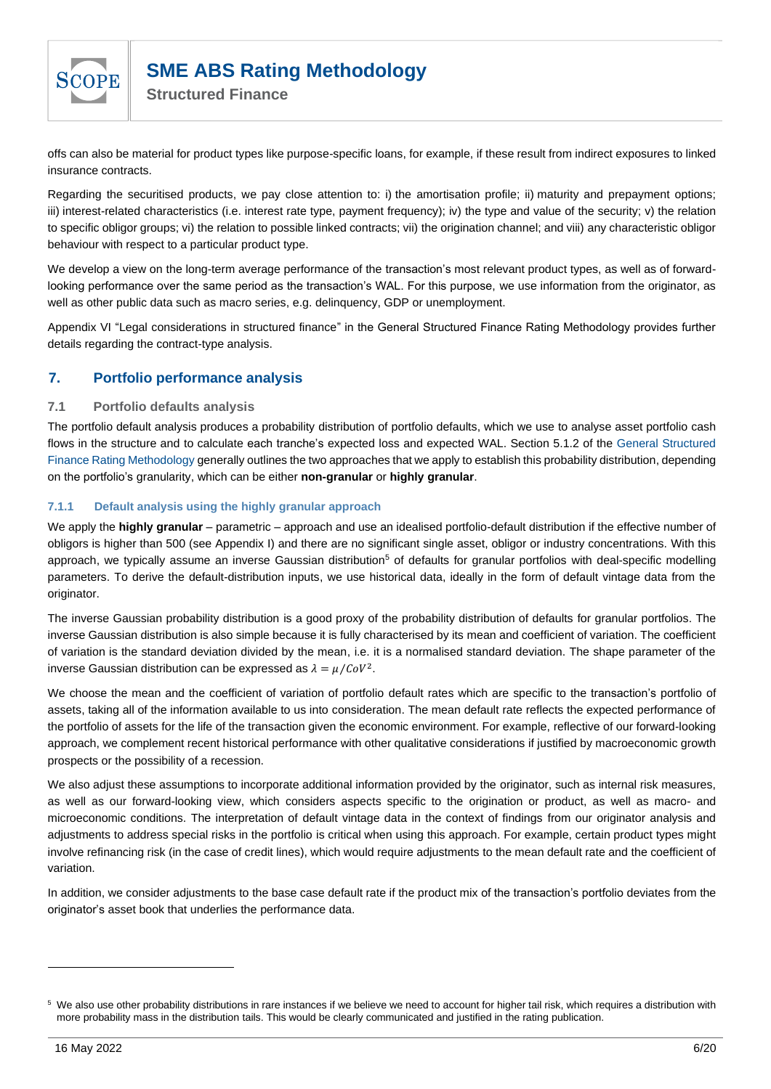

**Structured Finance**

offs can also be material for product types like purpose-specific loans, for example, if these result from indirect exposures to linked insurance contracts.

Regarding the securitised products, we pay close attention to: i) the amortisation profile; ii) maturity and prepayment options; iii) interest-related characteristics (i.e. interest rate type, payment frequency); iv) the type and value of the security; v) the relation to specific obligor groups; vi) the relation to possible linked contracts; vii) the origination channel; and viii) any characteristic obligor behaviour with respect to a particular product type.

We develop a view on the long-term average performance of the transaction's most relevant product types, as well as of forwardlooking performance over the same period as the transaction's WAL. For this purpose, we use information from the originator, as well as other public data such as macro series, e.g. delinquency, GDP or unemployment.

Appendix VI "Legal considerations in structured finance" in the General Structured Finance Rating Methodology provides further details regarding the contract-type analysis.

## <span id="page-5-0"></span>**7. Portfolio performance analysis**

## <span id="page-5-1"></span>**7.1 Portfolio defaults analysis**

The portfolio default analysis produces a probability distribution of portfolio defaults, which we use to analyse asset portfolio cash flows in the structure and to calculate each tranche's expected loss and expected WAL. Section 5.1.2 of the [General Structured](https://www.scoperatings.com/ScopeRatingsApi/api/downloadmethodology?id=8f6dc4fe-71e6-4946-bc27-3e84585c0a38)  [Finance Rating Methodology](https://www.scoperatings.com/ScopeRatingsApi/api/downloadmethodology?id=8f6dc4fe-71e6-4946-bc27-3e84585c0a38) generally outlines the two approaches that we apply to establish this probability distribution, depending on the portfolio's granularity, which can be either **non-granular** or **highly granular**.

#### **7.1.1 Default analysis using the highly granular approach**

We apply the **highly granular** – parametric – approach and use an idealised portfolio-default distribution if the effective number of obligors is higher than 500 (see [Appendix I\)](#page-15-0) and there are no significant single asset, obligor or industry concentrations. With this approach, we typically assume an inverse Gaussian distribution<sup>5</sup> of defaults for granular portfolios with deal-specific modelling parameters. To derive the default-distribution inputs, we use historical data, ideally in the form of default vintage data from the originator.

The inverse Gaussian probability distribution is a good proxy of the probability distribution of defaults for granular portfolios. The inverse Gaussian distribution is also simple because it is fully characterised by its mean and coefficient of variation. The coefficient of variation is the standard deviation divided by the mean, i.e. it is a normalised standard deviation. The shape parameter of the inverse Gaussian distribution can be expressed as  $\lambda = \mu / C_0 V^2$ .

We choose the mean and the coefficient of variation of portfolio default rates which are specific to the transaction's portfolio of assets, taking all of the information available to us into consideration. The mean default rate reflects the expected performance of the portfolio of assets for the life of the transaction given the economic environment. For example, reflective of our forward-looking approach, we complement recent historical performance with other qualitative considerations if justified by macroeconomic growth prospects or the possibility of a recession.

We also adjust these assumptions to incorporate additional information provided by the originator, such as internal risk measures, as well as our forward-looking view, which considers aspects specific to the origination or product, as well as macro- and microeconomic conditions. The interpretation of default vintage data in the context of findings from our originator analysis and adjustments to address special risks in the portfolio is critical when using this approach. For example, certain product types might involve refinancing risk (in the case of credit lines), which would require adjustments to the mean default rate and the coefficient of variation.

In addition, we consider adjustments to the base case default rate if the product mix of the transaction's portfolio deviates from the originator's asset book that underlies the performance data.

<sup>&</sup>lt;sup>5</sup> We also use other probability distributions in rare instances if we believe we need to account for higher tail risk, which requires a distribution with more probability mass in the distribution tails. This would be clearly communicated and justified in the rating publication.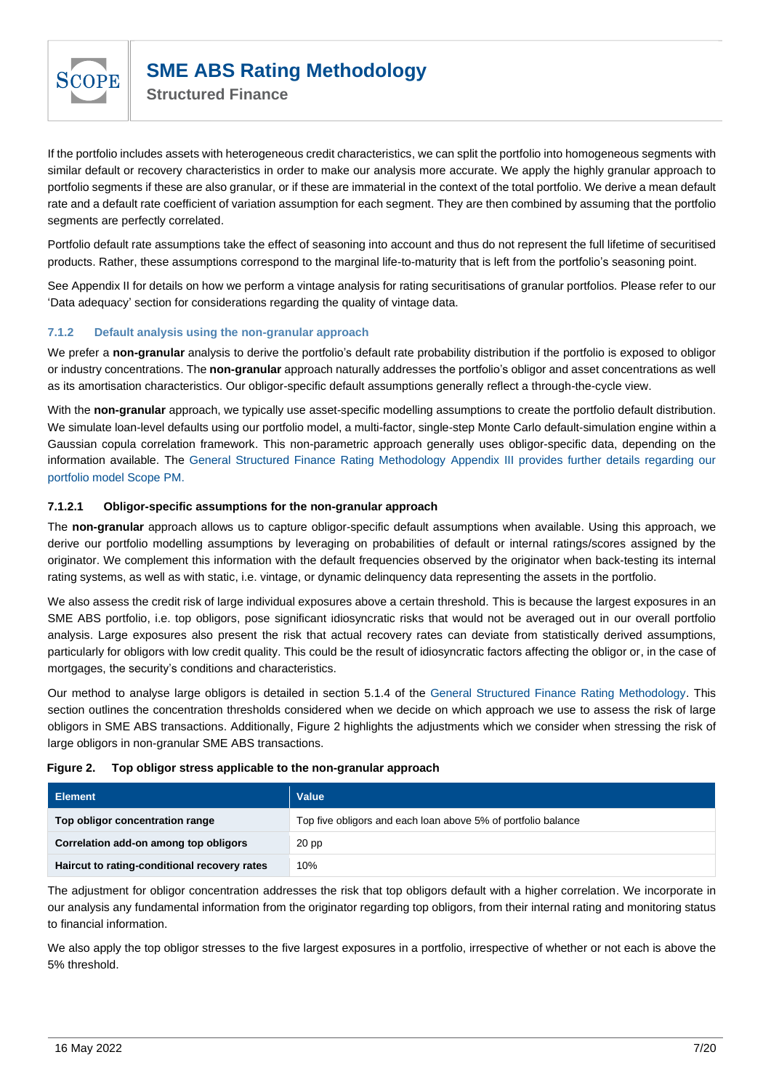

**Structured Finance**

If the portfolio includes assets with heterogeneous credit characteristics, we can split the portfolio into homogeneous segments with similar default or recovery characteristics in order to make our analysis more accurate. We apply the highly granular approach to portfolio segments if these are also granular, or if these are immaterial in the context of the total portfolio. We derive a mean default rate and a default rate coefficient of variation assumption for each segment. They are then combined by assuming that the portfolio segments are perfectly correlated.

Portfolio default rate assumptions take the effect of seasoning into account and thus do not represent the full lifetime of securitised products. Rather, these assumptions correspond to the marginal life-to-maturity that is left from the portfolio's seasoning point.

See [Appendix II](#page-16-0) for details on how we perform a vintage analysis for rating securitisations of granular portfolios. Please refer to our ['Data adequacy'](#page-13-0) section for considerations regarding the quality of vintage data.

#### **7.1.2 Default analysis using the non-granular approach**

We prefer a **non-granular** analysis to derive the portfolio's default rate probability distribution if the portfolio is exposed to obligor or industry concentrations. The **non-granular** approach naturally addresses the portfolio's obligor and asset concentrations as well as its amortisation characteristics. Our obligor-specific default assumptions generally reflect a through-the-cycle view.

With the **non-granular** approach, we typically use asset-specific modelling assumptions to create the portfolio default distribution. We simulate loan-level defaults using our portfolio model, a multi-factor, single-step Monte Carlo default-simulation engine within a Gaussian copula correlation framework. This non-parametric approach generally uses obligor-specific data, depending on the information available. The [General Structured Finance Rating Methodology](https://www.scopegroup.com/ScopeGroupApi/api/methodology?id=8f6dc4fe-71e6-4946-bc27-3e84585c0a38) Appendix III provides further details regarding our portfolio model Scope PM.

#### <span id="page-6-0"></span>**7.1.2.1 Obligor-specific assumptions for the non-granular approach**

The **non-granular** approach allows us to capture obligor-specific default assumptions when available. Using this approach, we derive our portfolio modelling assumptions by leveraging on probabilities of default or internal ratings/scores assigned by the originator. We complement this information with the default frequencies observed by the originator when back-testing its internal rating systems, as well as with static, i.e. vintage, or dynamic delinquency data representing the assets in the portfolio.

We also assess the credit risk of large individual exposures above a certain threshold. This is because the largest exposures in an SME ABS portfolio, i.e. top obligors, pose significant idiosyncratic risks that would not be averaged out in our overall portfolio analysis. Large exposures also present the risk that actual recovery rates can deviate from statistically derived assumptions, particularly for obligors with low credit quality. This could be the result of idiosyncratic factors affecting the obligor or, in the case of mortgages, the security's conditions and characteristics.

Our method to analyse large obligors is detailed in section 5.1.4 of the [General Structured Finance Rating Methodology.](https://www.scopegroup.com/ScopeGroupApi/api/methodology?id=8f6dc4fe-71e6-4946-bc27-3e84585c0a38) This section outlines the concentration thresholds considered when we decide on which approach we use to assess the risk of large obligors in SME ABS transactions. Additionally, [Figure 2](#page-6-1) highlights the adjustments which we consider when stressing the risk of large obligors in non-granular SME ABS transactions.

#### <span id="page-6-1"></span>**Figure 2. Top obligor stress applicable to the non-granular approach**

| <b>Element</b>                               | <b>Value</b>                                                  |
|----------------------------------------------|---------------------------------------------------------------|
| Top obligor concentration range              | Top five obligors and each loan above 5% of portfolio balance |
| Correlation add-on among top obligors        | 20 <sub>pp</sub>                                              |
| Haircut to rating-conditional recovery rates | 10%                                                           |

The adjustment for obligor concentration addresses the risk that top obligors default with a higher correlation. We incorporate in our analysis any fundamental information from the originator regarding top obligors, from their internal rating and monitoring status to financial information.

We also apply the top obligor stresses to the five largest exposures in a portfolio, irrespective of whether or not each is above the 5% threshold.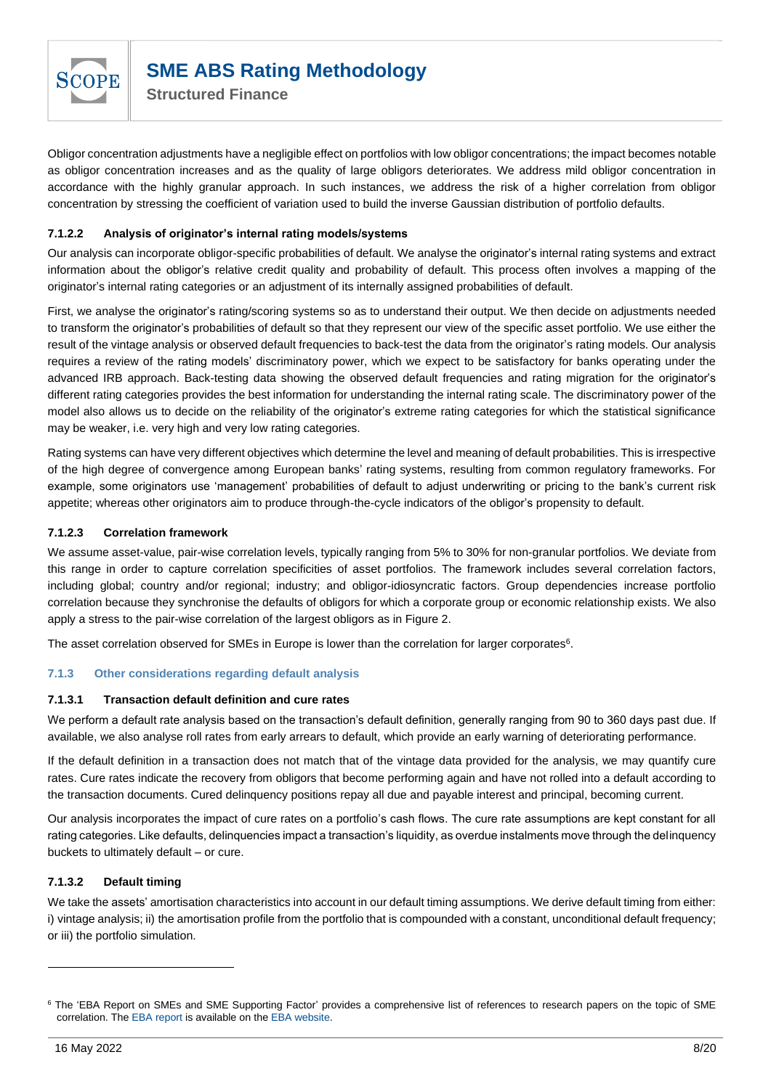

Obligor concentration adjustments have a negligible effect on portfolios with low obligor concentrations; the impact becomes notable as obligor concentration increases and as the quality of large obligors deteriorates. We address mild obligor concentration in accordance with the highly granular approach. In such instances, we address the risk of a higher correlation from obligor concentration by stressing the coefficient of variation used to build the inverse Gaussian distribution of portfolio defaults.

### **7.1.2.2 Analysis of originator's internal rating models/systems**

Our analysis can incorporate obligor-specific probabilities of default. We analyse the originator's internal rating systems and extract information about the obligor's relative credit quality and probability of default. This process often involves a mapping of the originator's internal rating categories or an adjustment of its internally assigned probabilities of default.

First, we analyse the originator's rating/scoring systems so as to understand their output. We then decide on adjustments needed to transform the originator's probabilities of default so that they represent our view of the specific asset portfolio. We use either the result of the vintage analysis or observed default frequencies to back-test the data from the originator's rating models. Our analysis requires a review of the rating models' discriminatory power, which we expect to be satisfactory for banks operating under the advanced IRB approach. Back-testing data showing the observed default frequencies and rating migration for the originator's different rating categories provides the best information for understanding the internal rating scale. The discriminatory power of the model also allows us to decide on the reliability of the originator's extreme rating categories for which the statistical significance may be weaker, i.e. very high and very low rating categories.

Rating systems can have very different objectives which determine the level and meaning of default probabilities. This is irrespective of the high degree of convergence among European banks' rating systems, resulting from common regulatory frameworks. For example, some originators use 'management' probabilities of default to adjust underwriting or pricing to the bank's current risk appetite; whereas other originators aim to produce through-the-cycle indicators of the obligor's propensity to default.

#### **7.1.2.3 Correlation framework**

We assume asset-value, pair-wise correlation levels, typically ranging from 5% to 30% for non-granular portfolios. We deviate from this range in order to capture correlation specificities of asset portfolios. The framework includes several correlation factors, including global; country and/or regional; industry; and obligor-idiosyncratic factors. Group dependencies increase portfolio correlation because they synchronise the defaults of obligors for which a corporate group or economic relationship exists. We also apply a stress to the pair-wise correlation of the largest obligors as in [Figure 2.](#page-6-1)

The asset correlation observed for SMEs in Europe is lower than the correlation for larger corporates<sup>6</sup>.

#### **7.1.3 Other considerations regarding default analysis**

#### **7.1.3.1 Transaction default definition and cure rates**

We perform a default rate analysis based on the transaction's default definition, generally ranging from 90 to 360 days past due. If available, we also analyse roll rates from early arrears to default, which provide an early warning of deteriorating performance.

If the default definition in a transaction does not match that of the vintage data provided for the analysis, we may quantify cure rates. Cure rates indicate the recovery from obligors that become performing again and have not rolled into a default according to the transaction documents. Cured delinquency positions repay all due and payable interest and principal, becoming current.

Our analysis incorporates the impact of cure rates on a portfolio's cash flows. The cure rate assumptions are kept constant for all rating categories. Like defaults, delinquencies impact a transaction's liquidity, as overdue instalments move through the delinquency buckets to ultimately default – or cure.

#### **7.1.3.2 Default timing**

We take the assets' amortisation characteristics into account in our default timing assumptions. We derive default timing from either: i) vintage analysis; ii) the amortisation profile from the portfolio that is compounded with a constant, unconditional default frequency; or iii) the portfolio simulation.

<sup>&</sup>lt;sup>6</sup> The 'EBA Report on SMEs and SME Supporting Factor' provides a comprehensive list of references to research papers on the topic of SME correlation. The [EBA report](https://www.eba.europa.eu/documents/10180/1359456/EBA-Op-2016-04++Report+on+SMEs+and+SME+supporting+factor.pdf) is available on th[e EBA website.](https://www.eba.europa.eu/documents/10180/1359456/EBA-Op-2016-04++Report+on+SMEs+and+SME+supporting+factor.pdf)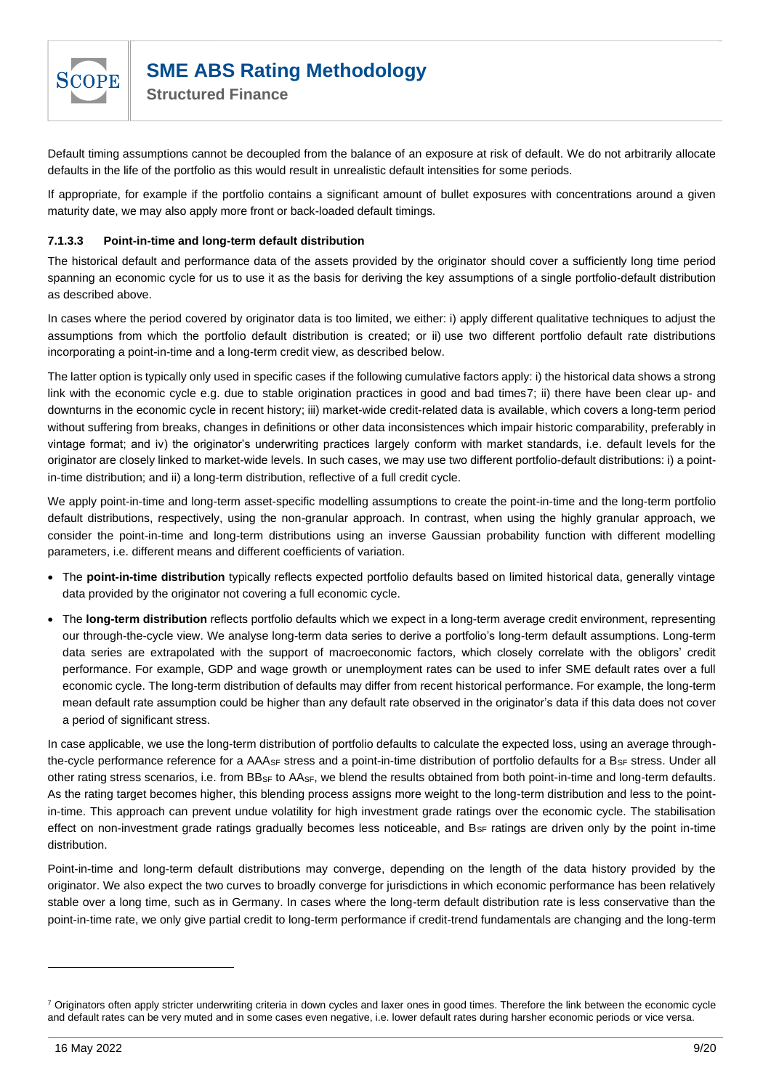

Default timing assumptions cannot be decoupled from the balance of an exposure at risk of default. We do not arbitrarily allocate defaults in the life of the portfolio as this would result in unrealistic default intensities for some periods.

If appropriate, for example if the portfolio contains a significant amount of bullet exposures with concentrations around a given maturity date, we may also apply more front or back-loaded default timings.

#### **7.1.3.3 Point-in-time and long-term default distribution**

The historical default and performance data of the assets provided by the originator should cover a sufficiently long time period spanning an economic cycle for us to use it as the basis for deriving the key assumptions of a single portfolio-default distribution as described above.

In cases where the period covered by originator data is too limited, we either: i) apply different qualitative techniques to adjust the assumptions from which the portfolio default distribution is created; or ii) use two different portfolio default rate distributions incorporating a point-in-time and a long-term credit view, as described below.

The latter option is typically only used in specific cases if the following cumulative factors apply: i) the historical data shows a strong link with the economic cycle e.g. due to stable origination practices in good and bad times7; ii) there have been clear up- and downturns in the economic cycle in recent history; iii) market-wide credit-related data is available, which covers a long-term period without suffering from breaks, changes in definitions or other data inconsistences which impair historic comparability, preferably in vintage format; and iv) the originator's underwriting practices largely conform with market standards, i.e. default levels for the originator are closely linked to market-wide levels. In such cases, we may use two different portfolio-default distributions: i) a pointin-time distribution; and ii) a long-term distribution, reflective of a full credit cycle.

We apply point-in-time and long-term asset-specific modelling assumptions to create the point-in-time and the long-term portfolio default distributions, respectively, using the non-granular approach. In contrast, when using the highly granular approach, we consider the point-in-time and long-term distributions using an inverse Gaussian probability function with different modelling parameters, i.e. different means and different coefficients of variation.

- The **point-in-time distribution** typically reflects expected portfolio defaults based on limited historical data, generally vintage data provided by the originator not covering a full economic cycle.
- The **long-term distribution** reflects portfolio defaults which we expect in a long-term average credit environment, representing our through-the-cycle view. We analyse long-term data series to derive a portfolio's long-term default assumptions. Long-term data series are extrapolated with the support of macroeconomic factors, which closely correlate with the obligors' credit performance. For example, GDP and wage growth or unemployment rates can be used to infer SME default rates over a full economic cycle. The long-term distribution of defaults may differ from recent historical performance. For example, the long-term mean default rate assumption could be higher than any default rate observed in the originator's data if this data does not cover a period of significant stress.

In case applicable, we use the long-term distribution of portfolio defaults to calculate the expected loss, using an average throughthe-cycle performance reference for a AAA<sub>SF</sub> stress and a point-in-time distribution of portfolio defaults for a B<sub>SF</sub> stress. Under all other rating stress scenarios, i.e. from  $BB_{SF}$  to  $AA_{SF}$ , we blend the results obtained from both point-in-time and long-term defaults. As the rating target becomes higher, this blending process assigns more weight to the long-term distribution and less to the pointin-time. This approach can prevent undue volatility for high investment grade ratings over the economic cycle. The stabilisation effect on non-investment grade ratings gradually becomes less noticeable, and B<sub>SF</sub> ratings are driven only by the point in-time distribution.

Point-in-time and long-term default distributions may converge, depending on the length of the data history provided by the originator. We also expect the two curves to broadly converge for jurisdictions in which economic performance has been relatively stable over a long time, such as in Germany. In cases where the long-term default distribution rate is less conservative than the point-in-time rate, we only give partial credit to long-term performance if credit-trend fundamentals are changing and the long-term

<sup>&</sup>lt;sup>7</sup> Originators often apply stricter underwriting criteria in down cycles and laxer ones in good times. Therefore the link between the economic cycle and default rates can be very muted and in some cases even negative, i.e. lower default rates during harsher economic periods or vice versa.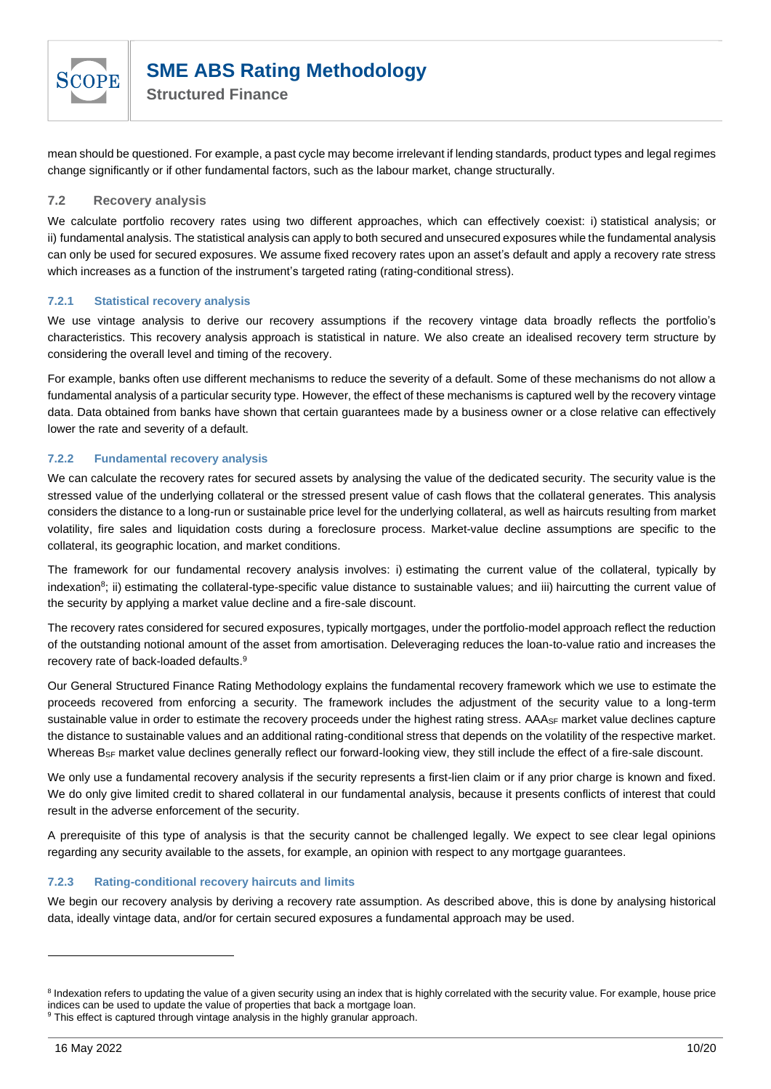

mean should be questioned. For example, a past cycle may become irrelevant if lending standards, product types and legal regimes change significantly or if other fundamental factors, such as the labour market, change structurally.

#### <span id="page-9-0"></span>**7.2 Recovery analysis**

We calculate portfolio recovery rates using two different approaches, which can effectively coexist: i) statistical analysis; or ii) fundamental analysis. The statistical analysis can apply to both secured and unsecured exposures while the fundamental analysis can only be used for secured exposures. We assume fixed recovery rates upon an asset's default and apply a recovery rate stress which increases as a function of the instrument's targeted rating (rating-conditional stress).

#### **7.2.1 Statistical recovery analysis**

We use vintage analysis to derive our recovery assumptions if the recovery vintage data broadly reflects the portfolio's characteristics. This recovery analysis approach is statistical in nature. We also create an idealised recovery term structure by considering the overall level and timing of the recovery.

For example, banks often use different mechanisms to reduce the severity of a default. Some of these mechanisms do not allow a fundamental analysis of a particular security type. However, the effect of these mechanisms is captured well by the recovery vintage data. Data obtained from banks have shown that certain guarantees made by a business owner or a close relative can effectively lower the rate and severity of a default.

#### **7.2.2 Fundamental recovery analysis**

We can calculate the recovery rates for secured assets by analysing the value of the dedicated security. The security value is the stressed value of the underlying collateral or the stressed present value of cash flows that the collateral generates. This analysis considers the distance to a long-run or sustainable price level for the underlying collateral, as well as haircuts resulting from market volatility, fire sales and liquidation costs during a foreclosure process. Market-value decline assumptions are specific to the collateral, its geographic location, and market conditions.

The framework for our fundamental recovery analysis involves: i) estimating the current value of the collateral, typically by indexation<sup>8</sup>; ii) estimating the collateral-type-specific value distance to sustainable values; and iii) haircutting the current value of the security by applying a market value decline and a fire-sale discount.

The recovery rates considered for secured exposures, typically mortgages, under the portfolio-model approach reflect the reduction of the outstanding notional amount of the asset from amortisation. Deleveraging reduces the loan-to-value ratio and increases the recovery rate of back-loaded defaults.<sup>9</sup>

Our General Structured Finance Rating Methodology explains the fundamental recovery framework which we use to estimate the proceeds recovered from enforcing a security. The framework includes the adjustment of the security value to a long-term sustainable value in order to estimate the recovery proceeds under the highest rating stress. AAA<sub>SF</sub> market value declines capture the distance to sustainable values and an additional rating-conditional stress that depends on the volatility of the respective market. Whereas B<sub>SF</sub> market value declines generally reflect our forward-looking view, they still include the effect of a fire-sale discount.

We only use a fundamental recovery analysis if the security represents a first-lien claim or if any prior charge is known and fixed. We do only give limited credit to shared collateral in our fundamental analysis, because it presents conflicts of interest that could result in the adverse enforcement of the security.

A prerequisite of this type of analysis is that the security cannot be challenged legally. We expect to see clear legal opinions regarding any security available to the assets, for example, an opinion with respect to any mortgage guarantees.

#### **7.2.3 Rating-conditional recovery haircuts and limits**

We begin our recovery analysis by deriving a recovery rate assumption. As described above, this is done by analysing historical data, ideally vintage data, and/or for certain secured exposures a fundamental approach may be used.

<sup>&</sup>lt;sup>8</sup> Indexation refers to updating the value of a given security using an index that is highly correlated with the security value. For example, house price indices can be used to update the value of properties that back a mortgage loan.

<sup>&</sup>lt;sup>9</sup> This effect is captured through vintage analysis in the highly granular approach.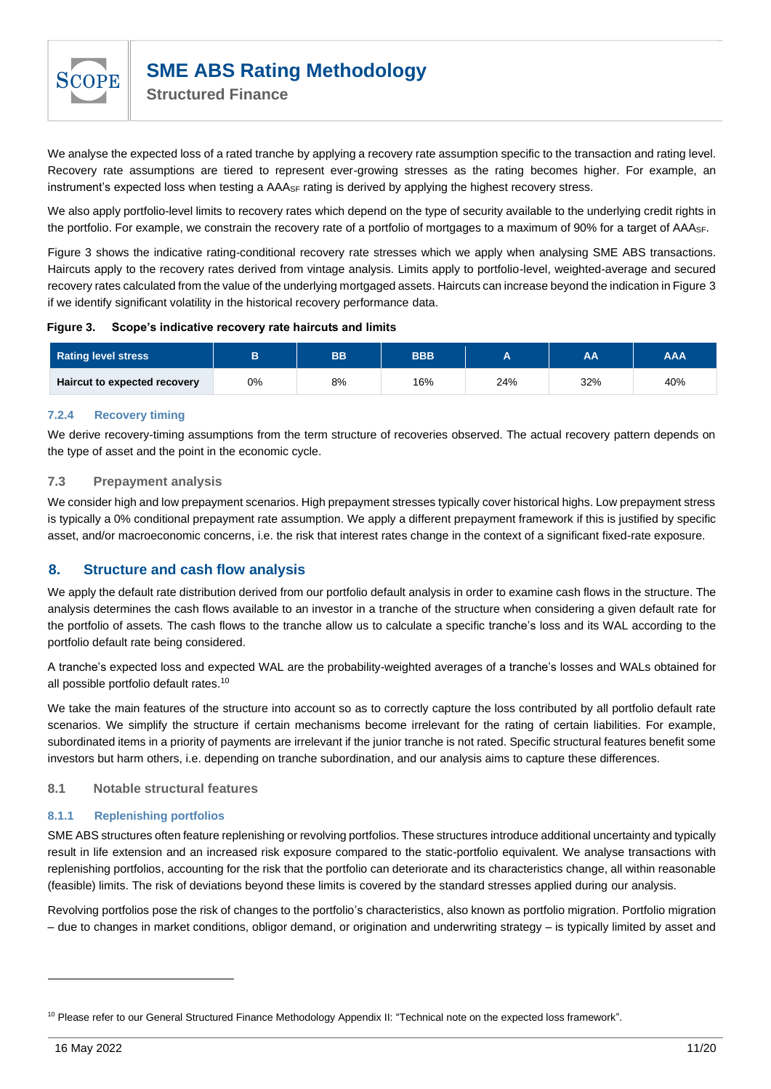

We analyse the expected loss of a rated tranche by applying a recovery rate assumption specific to the transaction and rating level. Recovery rate assumptions are tiered to represent ever-growing stresses as the rating becomes higher. For example, an instrument's expected loss when testing a AAA<sub>SF</sub> rating is derived by applying the highest recovery stress.

We also apply portfolio-level limits to recovery rates which depend on the type of security available to the underlying credit rights in the portfolio. For example, we constrain the recovery rate of a portfolio of mortgages to a maximum of 90% for a target of AAASF.

[Figure 3](#page-10-3) shows the indicative rating-conditional recovery rate stresses which we apply when analysing SME ABS transactions. Haircuts apply to the recovery rates derived from vintage analysis. Limits apply to portfolio-level, weighted-average and secured recovery rates calculated from the value of the underlying mortgaged assets. Haircuts can increase beyond the indication in Figure 3 if we identify significant volatility in the historical recovery performance data.

#### <span id="page-10-3"></span>**Figure 3. Scope's indicative recovery rate haircuts and limits**

| <b>Rating level stress</b>   |    | ВB | <b>BBB</b> |     | AΑ  | <b>AAA</b> |
|------------------------------|----|----|------------|-----|-----|------------|
| Haircut to expected recovery | 0% | 8% | 16%        | 24% | 32% | 40%        |

#### **7.2.4 Recovery timing**

We derive recovery-timing assumptions from the term structure of recoveries observed. The actual recovery pattern depends on the type of asset and the point in the economic cycle.

#### <span id="page-10-0"></span>**7.3 Prepayment analysis**

We consider high and low prepayment scenarios. High prepayment stresses typically cover historical highs. Low prepayment stress is typically a 0% conditional prepayment rate assumption. We apply a different prepayment framework if this is justified by specific asset, and/or macroeconomic concerns, i.e. the risk that interest rates change in the context of a significant fixed-rate exposure.

## <span id="page-10-1"></span>**8. Structure and cash flow analysis**

We apply the default rate distribution derived from our portfolio default analysis in order to examine cash flows in the structure. The analysis determines the cash flows available to an investor in a tranche of the structure when considering a given default rate for the portfolio of assets. The cash flows to the tranche allow us to calculate a specific tranche's loss and its WAL according to the portfolio default rate being considered.

A tranche's expected loss and expected WAL are the probability-weighted averages of a tranche's losses and WALs obtained for all possible portfolio default rates.<sup>10</sup>

We take the main features of the structure into account so as to correctly capture the loss contributed by all portfolio default rate scenarios. We simplify the structure if certain mechanisms become irrelevant for the rating of certain liabilities. For example, subordinated items in a priority of payments are irrelevant if the junior tranche is not rated. Specific structural features benefit some investors but harm others, i.e. depending on tranche subordination, and our analysis aims to capture these differences.

#### <span id="page-10-2"></span>**8.1 Notable structural features**

#### **8.1.1 Replenishing portfolios**

SME ABS structures often feature replenishing or revolving portfolios. These structures introduce additional uncertainty and typically result in life extension and an increased risk exposure compared to the static-portfolio equivalent. We analyse transactions with replenishing portfolios, accounting for the risk that the portfolio can deteriorate and its characteristics change, all within reasonable (feasible) limits. The risk of deviations beyond these limits is covered by the standard stresses applied during our analysis.

Revolving portfolios pose the risk of changes to the portfolio's characteristics, also known as portfolio migration. Portfolio migration – due to changes in market conditions, obligor demand, or origination and underwriting strategy – is typically limited by asset and

<sup>&</sup>lt;sup>10</sup> Please refer to our General Structured Finance Methodology Appendix II: "Technical note on the expected loss framework".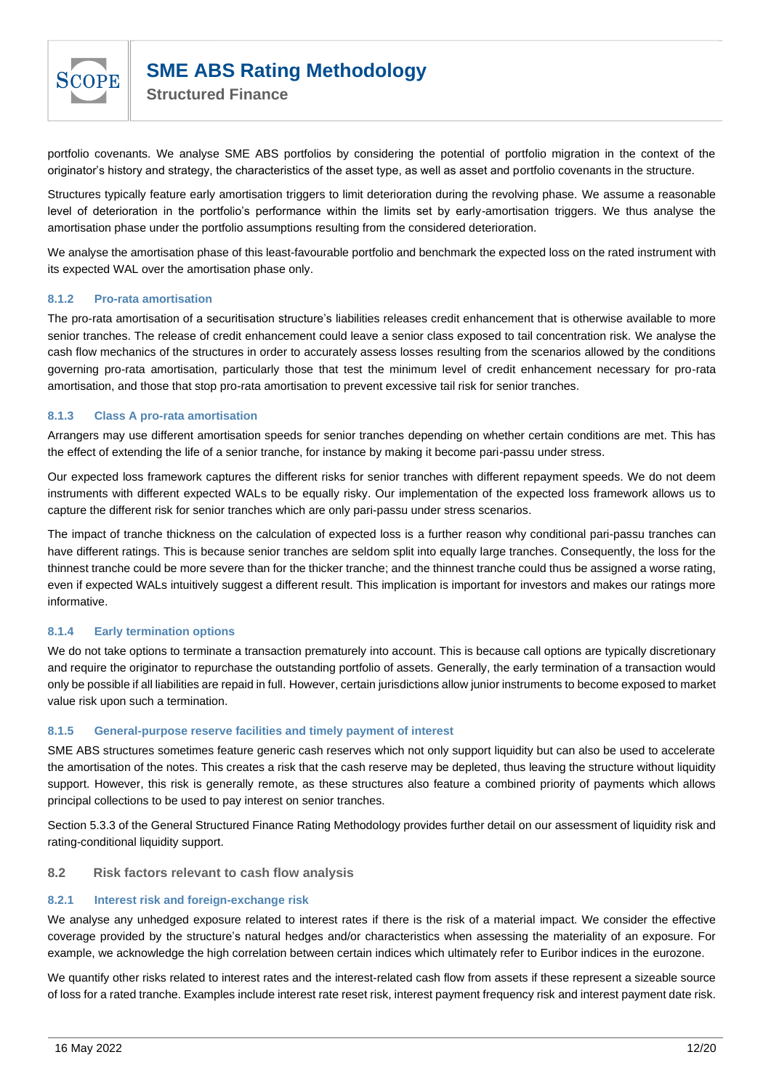

portfolio covenants. We analyse SME ABS portfolios by considering the potential of portfolio migration in the context of the originator's history and strategy, the characteristics of the asset type, as well as asset and portfolio covenants in the structure.

Structures typically feature early amortisation triggers to limit deterioration during the revolving phase. We assume a reasonable level of deterioration in the portfolio's performance within the limits set by early-amortisation triggers. We thus analyse the amortisation phase under the portfolio assumptions resulting from the considered deterioration.

We analyse the amortisation phase of this least-favourable portfolio and benchmark the expected loss on the rated instrument with its expected WAL over the amortisation phase only.

#### **8.1.2 Pro-rata amortisation**

The pro-rata amortisation of a securitisation structure's liabilities releases credit enhancement that is otherwise available to more senior tranches. The release of credit enhancement could leave a senior class exposed to tail concentration risk. We analyse the cash flow mechanics of the structures in order to accurately assess losses resulting from the scenarios allowed by the conditions governing pro-rata amortisation, particularly those that test the minimum level of credit enhancement necessary for pro-rata amortisation, and those that stop pro-rata amortisation to prevent excessive tail risk for senior tranches.

#### **8.1.3 Class A pro-rata amortisation**

Arrangers may use different amortisation speeds for senior tranches depending on whether certain conditions are met. This has the effect of extending the life of a senior tranche, for instance by making it become pari-passu under stress.

Our expected loss framework captures the different risks for senior tranches with different repayment speeds. We do not deem instruments with different expected WALs to be equally risky. Our implementation of the expected loss framework allows us to capture the different risk for senior tranches which are only pari-passu under stress scenarios.

The impact of tranche thickness on the calculation of expected loss is a further reason why conditional pari-passu tranches can have different ratings. This is because senior tranches are seldom split into equally large tranches. Consequently, the loss for the thinnest tranche could be more severe than for the thicker tranche; and the thinnest tranche could thus be assigned a worse rating, even if expected WALs intuitively suggest a different result. This implication is important for investors and makes our ratings more informative.

#### **8.1.4 Early termination options**

We do not take options to terminate a transaction prematurely into account. This is because call options are typically discretionary and require the originator to repurchase the outstanding portfolio of assets. Generally, the early termination of a transaction would only be possible if all liabilities are repaid in full. However, certain jurisdictions allow junior instruments to become exposed to market value risk upon such a termination.

#### **8.1.5 General-purpose reserve facilities and timely payment of interest**

SME ABS structures sometimes feature generic cash reserves which not only support liquidity but can also be used to accelerate the amortisation of the notes. This creates a risk that the cash reserve may be depleted, thus leaving the structure without liquidity support. However, this risk is generally remote, as these structures also feature a combined priority of payments which allows principal collections to be used to pay interest on senior tranches.

Section 5.3.3 of the General Structured Finance Rating Methodology provides further detail on our assessment of liquidity risk and rating-conditional liquidity support.

#### <span id="page-11-0"></span>**8.2 Risk factors relevant to cash flow analysis**

#### **8.2.1 Interest risk and foreign-exchange risk**

We analyse any unhedged exposure related to interest rates if there is the risk of a material impact. We consider the effective coverage provided by the structure's natural hedges and/or characteristics when assessing the materiality of an exposure. For example, we acknowledge the high correlation between certain indices which ultimately refer to Euribor indices in the eurozone.

We quantify other risks related to interest rates and the interest-related cash flow from assets if these represent a sizeable source of loss for a rated tranche. Examples include interest rate reset risk, interest payment frequency risk and interest payment date risk.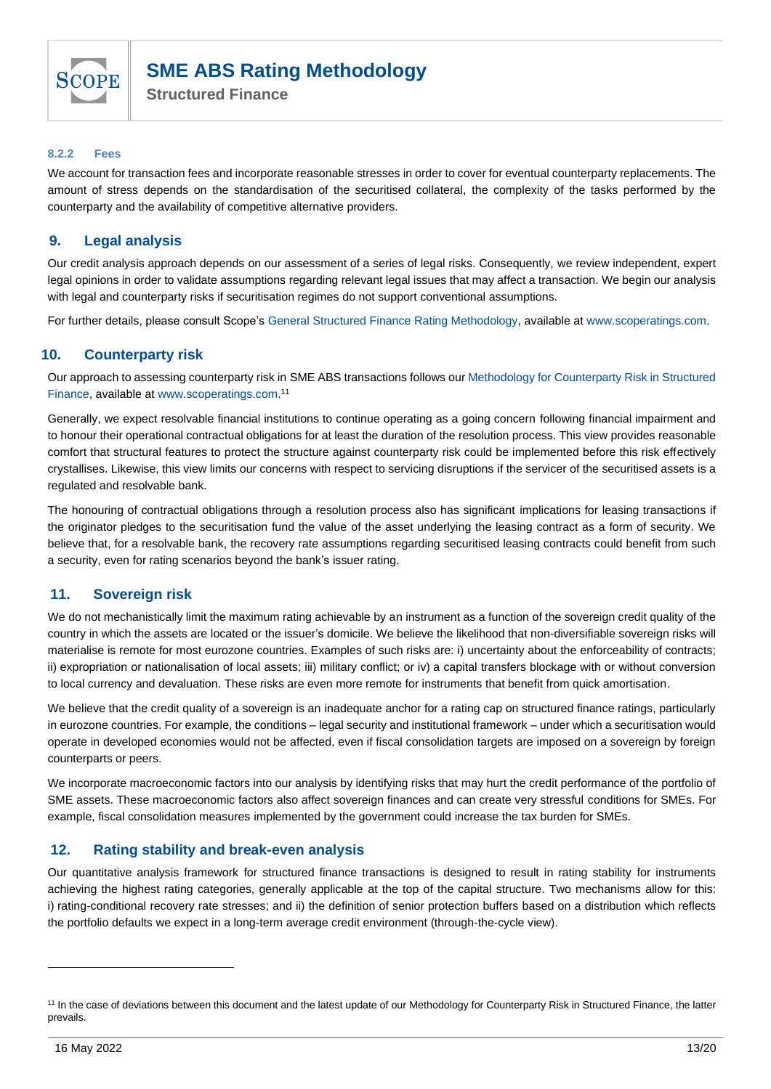

#### **8.2.2 Fees**

We account for transaction fees and incorporate reasonable stresses in order to cover for eventual counterparty replacements. The amount of stress depends on the standardisation of the securitised collateral, the complexity of the tasks performed by the counterparty and the availability of competitive alternative providers.

## <span id="page-12-0"></span>**9. Legal analysis**

Our credit analysis approach depends on our assessment of a series of legal risks. Consequently, we review independent, expert legal opinions in order to validate assumptions regarding relevant legal issues that may affect a transaction. We begin our analysis with legal and counterparty risks if securitisation regimes do not support conventional assumptions.

For further details, please consult Scope's [General Structured Finance Rating Methodology,](https://www.scoperatings.com/ScopeRatingsApi/api/downloadmethodology?id=8f6dc4fe-71e6-4946-bc27-3e84585c0a38) available at [www.scoperatings.com.](file:///C:/Users/s.dietzsch/AppData/Local/Microsoft/Windows/INetCache/Content.Outlook/LVOD21M8/www.scoperatings.com)

## <span id="page-12-1"></span>**10. Counterparty risk**

Our approach to assessing counterparty risk in SME ABS transactions follows our [Methodology for Counterparty Risk in Structured](https://www.scoperatings.com/ScopeRatingsApi/api/downloadmethodology?id=2c0bf689-0532-475c-99b4-8dd05120176a)  [Finance,](https://www.scoperatings.com/ScopeRatingsApi/api/downloadmethodology?id=2c0bf689-0532-475c-99b4-8dd05120176a) available at [www.scoperatings.com.](http://www.scoperatings.com/) 11

Generally, we expect resolvable financial institutions to continue operating as a going concern following financial impairment and to honour their operational contractual obligations for at least the duration of the resolution process. This view provides reasonable comfort that structural features to protect the structure against counterparty risk could be implemented before this risk effectively crystallises. Likewise, this view limits our concerns with respect to servicing disruptions if the servicer of the securitised assets is a regulated and resolvable bank.

The honouring of contractual obligations through a resolution process also has significant implications for leasing transactions if the originator pledges to the securitisation fund the value of the asset underlying the leasing contract as a form of security. We believe that, for a resolvable bank, the recovery rate assumptions regarding securitised leasing contracts could benefit from such a security, even for rating scenarios beyond the bank's issuer rating.

## <span id="page-12-2"></span>**11. Sovereign risk**

We do not mechanistically limit the maximum rating achievable by an instrument as a function of the sovereign credit quality of the country in which the assets are located or the issuer's domicile. We believe the likelihood that non-diversifiable sovereign risks will materialise is remote for most eurozone countries. Examples of such risks are: i) uncertainty about the enforceability of contracts; ii) expropriation or nationalisation of local assets; iii) military conflict; or iv) a capital transfers blockage with or without conversion to local currency and devaluation. These risks are even more remote for instruments that benefit from quick amortisation.

We believe that the credit quality of a sovereign is an inadequate anchor for a rating cap on structured finance ratings, particularly in eurozone countries. For example, the conditions – legal security and institutional framework – under which a securitisation would operate in developed economies would not be affected, even if fiscal consolidation targets are imposed on a sovereign by foreign counterparts or peers.

We incorporate macroeconomic factors into our analysis by identifying risks that may hurt the credit performance of the portfolio of SME assets. These macroeconomic factors also affect sovereign finances and can create very stressful conditions for SMEs. For example, fiscal consolidation measures implemented by the government could increase the tax burden for SMEs.

## <span id="page-12-3"></span>**12. Rating stability and break-even analysis**

Our quantitative analysis framework for structured finance transactions is designed to result in rating stability for instruments achieving the highest rating categories, generally applicable at the top of the capital structure. Two mechanisms allow for this: i) rating-conditional recovery rate stresses; and ii) the definition of senior protection buffers based on a distribution which reflects the portfolio defaults we expect in a long-term average credit environment (through-the-cycle view).

<sup>&</sup>lt;sup>11</sup> In the case of deviations between this document and the latest update of our Methodology for Counterparty Risk in Structured Finance, the latter prevails.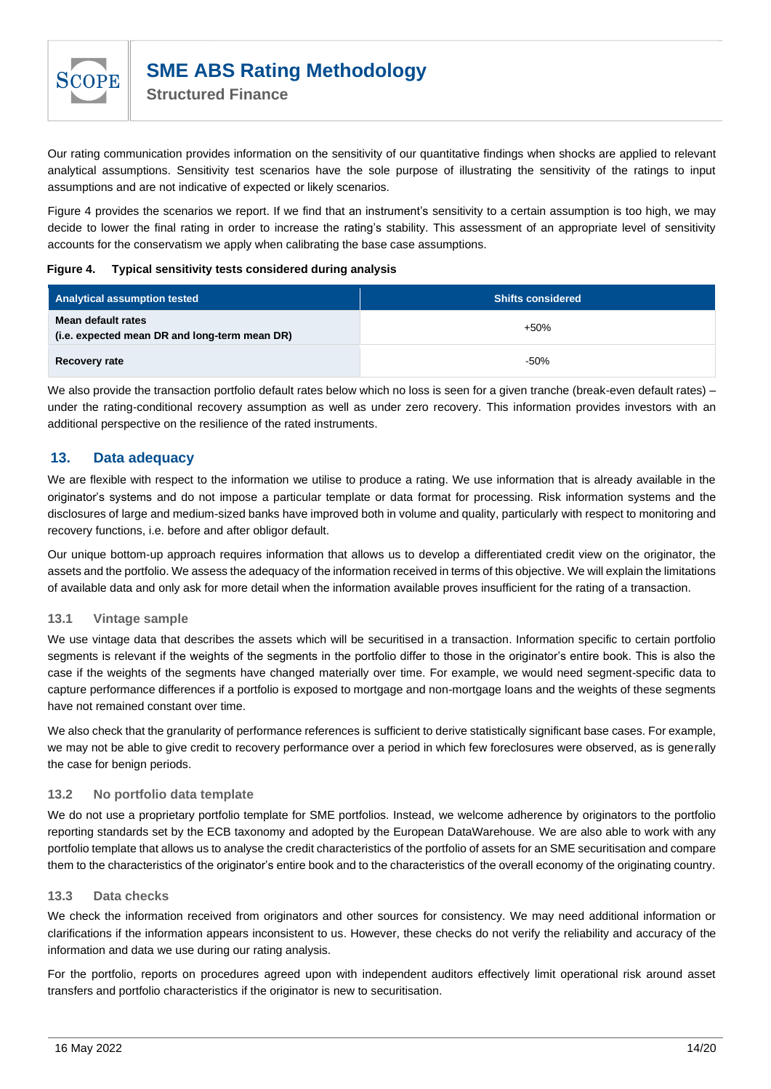

Our rating communication provides information on the sensitivity of our quantitative findings when shocks are applied to relevant analytical assumptions. Sensitivity test scenarios have the sole purpose of illustrating the sensitivity of the ratings to input assumptions and are not indicative of expected or likely scenarios.

[Figure 4](#page-13-4) provides the scenarios we report. If we find that an instrument's sensitivity to a certain assumption is too high, we may decide to lower the final rating in order to increase the rating's stability. This assessment of an appropriate level of sensitivity accounts for the conservatism we apply when calibrating the base case assumptions.

#### <span id="page-13-4"></span>**Figure 4. Typical sensitivity tests considered during analysis**

| Analytical assumption tested                                        | <b>Shifts considered</b> |
|---------------------------------------------------------------------|--------------------------|
| Mean default rates<br>(i.e. expected mean DR and long-term mean DR) | +50%                     |
| Recovery rate                                                       | $-50%$                   |

We also provide the transaction portfolio default rates below which no loss is seen for a given tranche (break-even default rates) – under the rating-conditional recovery assumption as well as under zero recovery. This information provides investors with an additional perspective on the resilience of the rated instruments.

## <span id="page-13-0"></span>**13. Data adequacy**

We are flexible with respect to the information we utilise to produce a rating. We use information that is already available in the originator's systems and do not impose a particular template or data format for processing. Risk information systems and the disclosures of large and medium-sized banks have improved both in volume and quality, particularly with respect to monitoring and recovery functions, i.e. before and after obligor default.

Our unique bottom-up approach requires information that allows us to develop a differentiated credit view on the originator, the assets and the portfolio. We assess the adequacy of the information received in terms of this objective. We will explain the limitations of available data and only ask for more detail when the information available proves insufficient for the rating of a transaction.

#### <span id="page-13-1"></span>**13.1 Vintage sample**

We use vintage data that describes the assets which will be securitised in a transaction. Information specific to certain portfolio segments is relevant if the weights of the segments in the portfolio differ to those in the originator's entire book. This is also the case if the weights of the segments have changed materially over time. For example, we would need segment-specific data to capture performance differences if a portfolio is exposed to mortgage and non-mortgage loans and the weights of these segments have not remained constant over time.

We also check that the granularity of performance references is sufficient to derive statistically significant base cases. For example, we may not be able to give credit to recovery performance over a period in which few foreclosures were observed, as is generally the case for benign periods.

#### <span id="page-13-2"></span>**13.2 No portfolio data template**

We do not use a proprietary portfolio template for SME portfolios. Instead, we welcome adherence by originators to the portfolio reporting standards set by the ECB taxonomy and adopted by the European DataWarehouse. We are also able to work with any portfolio template that allows us to analyse the credit characteristics of the portfolio of assets for an SME securitisation and compare them to the characteristics of the originator's entire book and to the characteristics of the overall economy of the originating country.

#### <span id="page-13-3"></span>**13.3 Data checks**

We check the information received from originators and other sources for consistency. We may need additional information or clarifications if the information appears inconsistent to us. However, these checks do not verify the reliability and accuracy of the information and data we use during our rating analysis.

For the portfolio, reports on procedures agreed upon with independent auditors effectively limit operational risk around asset transfers and portfolio characteristics if the originator is new to securitisation.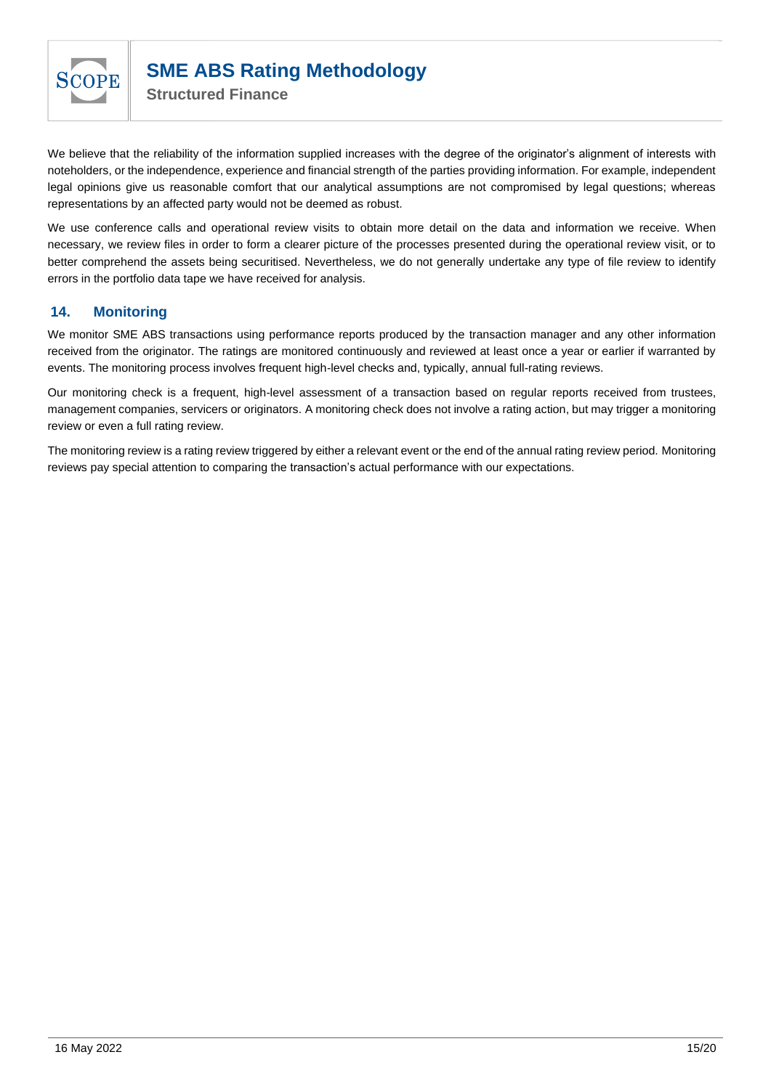

We believe that the reliability of the information supplied increases with the degree of the originator's alignment of interests with noteholders, or the independence, experience and financial strength of the parties providing information. For example, independent legal opinions give us reasonable comfort that our analytical assumptions are not compromised by legal questions; whereas representations by an affected party would not be deemed as robust.

We use conference calls and operational review visits to obtain more detail on the data and information we receive. When necessary, we review files in order to form a clearer picture of the processes presented during the operational review visit, or to better comprehend the assets being securitised. Nevertheless, we do not generally undertake any type of file review to identify errors in the portfolio data tape we have received for analysis.

## <span id="page-14-0"></span>**14. Monitoring**

We monitor SME ABS transactions using performance reports produced by the transaction manager and any other information received from the originator. The ratings are monitored continuously and reviewed at least once a year or earlier if warranted by events. The monitoring process involves frequent high-level checks and, typically, annual full-rating reviews.

Our monitoring check is a frequent, high-level assessment of a transaction based on regular reports received from trustees, management companies, servicers or originators. A monitoring check does not involve a rating action, but may trigger a monitoring review or even a full rating review.

The monitoring review is a rating review triggered by either a relevant event or the end of the annual rating review period. Monitoring reviews pay special attention to comparing the transaction's actual performance with our expectations.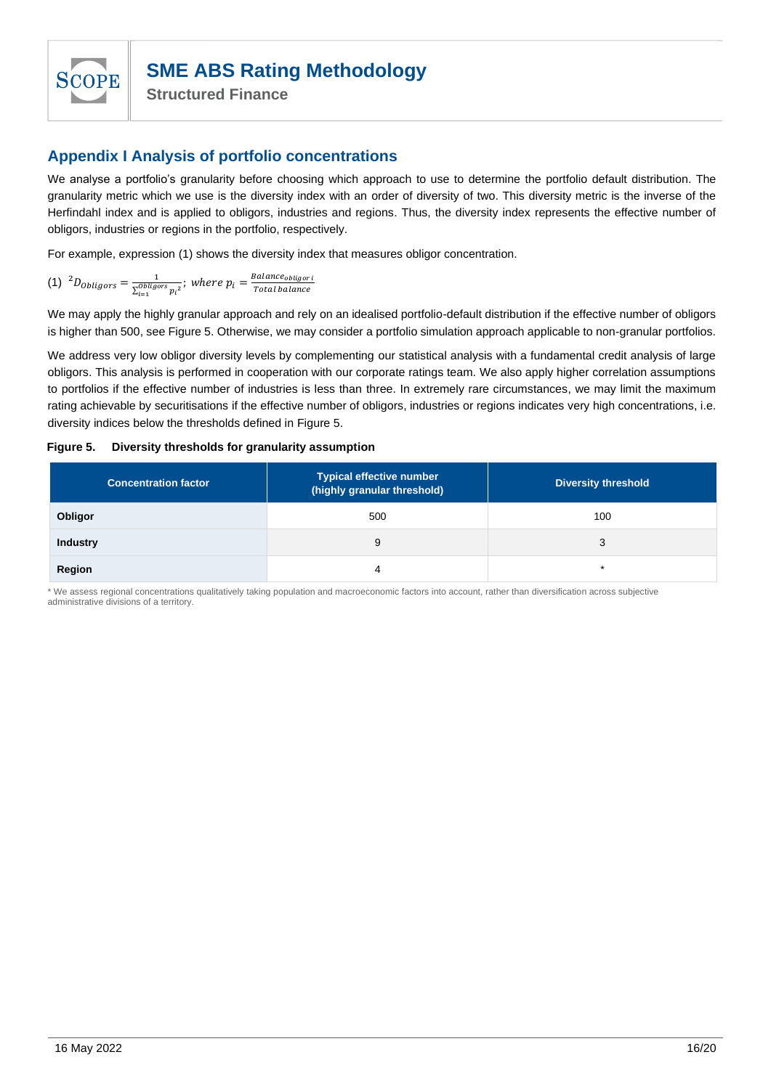

**Structured Finance**

## <span id="page-15-0"></span>**Appendix I Analysis of portfolio concentrations**

We analyse a portfolio's granularity before choosing which approach to use to determine the portfolio default distribution. The granularity metric which we use is the diversity index with an order of diversity of two. This diversity metric is the inverse of the Herfindahl index and is applied to obligors, industries and regions. Thus, the diversity index represents the effective number of obligors, industries or regions in the portfolio, respectively.

For example, expression [\(1\)](#page-15-1) shows the diversity index that measures obligor concentration.

<span id="page-15-1"></span>(1) 
$$
{}^{2}D_{obligors} = \frac{1}{\sum_{i=1}^{obligors} p_i^2}
$$
; where  $p_i = \frac{Balance_{obligori}}{Total balance}$ 

We may apply the highly granular approach and rely on an idealised portfolio-default distribution if the effective number of obligors is higher than 500, see [Figure 5.](#page-15-2) Otherwise, we may consider a portfolio simulation approach applicable to non-granular portfolios.

We address very low obligor diversity levels by complementing our statistical analysis with a fundamental credit analysis of large obligors. This analysis is performed in cooperation with our corporate ratings team. We also apply higher correlation assumptions to portfolios if the effective number of industries is less than three. In extremely rare circumstances, we may limit the maximum rating achievable by securitisations if the effective number of obligors, industries or regions indicates very high concentrations, i.e. diversity indices below the thresholds defined in [Figure 5.](#page-15-2)

#### <span id="page-15-2"></span>**Figure 5. Diversity thresholds for granularity assumption**

| <b>Concentration factor</b> | <b>Typical effective number</b><br>(highly granular threshold) | <b>Diversity threshold</b> |
|-----------------------------|----------------------------------------------------------------|----------------------------|
| Obligor                     | 500                                                            | 100                        |
| <b>Industry</b>             | 9                                                              | 3                          |
| Region                      | 4                                                              | ÷                          |

\* We assess regional concentrations qualitatively taking population and macroeconomic factors into account, rather than diversification across subjective administrative divisions of a territory.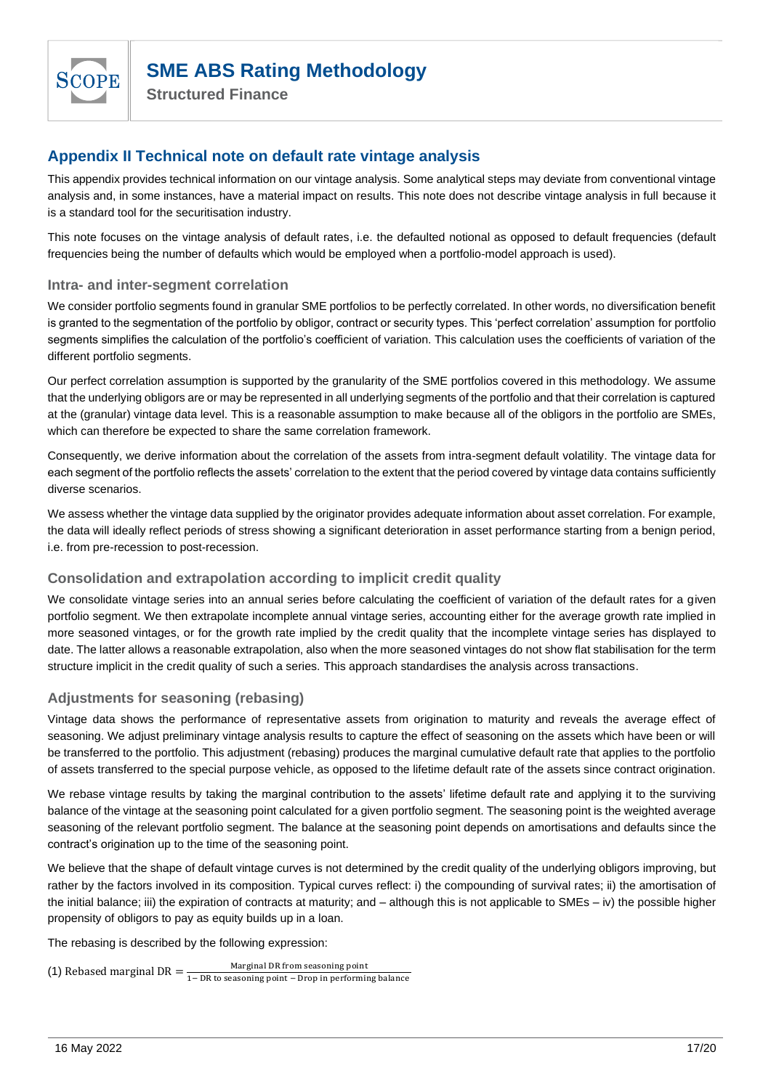**Structured Finance**

## <span id="page-16-0"></span>**Appendix II Technical note on default rate vintage analysis**

This appendix provides technical information on our vintage analysis. Some analytical steps may deviate from conventional vintage analysis and, in some instances, have a material impact on results. This note does not describe vintage analysis in full because it is a standard tool for the securitisation industry.

This note focuses on the vintage analysis of default rates, i.e. the defaulted notional as opposed to default frequencies (default frequencies being the number of defaults which would be employed when a portfolio-model approach is used).

## <span id="page-16-1"></span>**Intra- and inter-segment correlation**

We consider portfolio segments found in granular SME portfolios to be perfectly correlated. In other words, no diversification benefit is granted to the segmentation of the portfolio by obligor, contract or security types. This 'perfect correlation' assumption for portfolio segments simplifies the calculation of the portfolio's coefficient of variation. This calculation uses the coefficients of variation of the different portfolio segments.

Our perfect correlation assumption is supported by the granularity of the SME portfolios covered in this methodology. We assume that the underlying obligors are or may be represented in all underlying segments of the portfolio and that their correlation is captured at the (granular) vintage data level. This is a reasonable assumption to make because all of the obligors in the portfolio are SMEs, which can therefore be expected to share the same correlation framework.

Consequently, we derive information about the correlation of the assets from intra-segment default volatility. The vintage data for each segment of the portfolio reflects the assets' correlation to the extent that the period covered by vintage data contains sufficiently diverse scenarios.

We assess whether the vintage data supplied by the originator provides adequate information about asset correlation. For example, the data will ideally reflect periods of stress showing a significant deterioration in asset performance starting from a benign period, i.e. from pre-recession to post-recession.

## <span id="page-16-2"></span>**Consolidation and extrapolation according to implicit credit quality**

We consolidate vintage series into an annual series before calculating the coefficient of variation of the default rates for a given portfolio segment. We then extrapolate incomplete annual vintage series, accounting either for the average growth rate implied in more seasoned vintages, or for the growth rate implied by the credit quality that the incomplete vintage series has displayed to date. The latter allows a reasonable extrapolation, also when the more seasoned vintages do not show flat stabilisation for the term structure implicit in the credit quality of such a series. This approach standardises the analysis across transactions.

## <span id="page-16-3"></span>**Adjustments for seasoning (rebasing)**

Vintage data shows the performance of representative assets from origination to maturity and reveals the average effect of seasoning. We adjust preliminary vintage analysis results to capture the effect of seasoning on the assets which have been or will be transferred to the portfolio. This adjustment (rebasing) produces the marginal cumulative default rate that applies to the portfolio of assets transferred to the special purpose vehicle, as opposed to the lifetime default rate of the assets since contract origination.

We rebase vintage results by taking the marginal contribution to the assets' lifetime default rate and applying it to the surviving balance of the vintage at the seasoning point calculated for a given portfolio segment. The seasoning point is the weighted average seasoning of the relevant portfolio segment. The balance at the seasoning point depends on amortisations and defaults since the contract's origination up to the time of the seasoning point.

We believe that the shape of default vintage curves is not determined by the credit quality of the underlying obligors improving, but rather by the factors involved in its composition. Typical curves reflect: i) the compounding of survival rates; ii) the amortisation of the initial balance; iii) the expiration of contracts at maturity; and – although this is not applicable to SMEs – iv) the possible higher propensity of obligors to pay as equity builds up in a loan.

The rebasing is described by the following expression:

(1) Rebased marginal DR = Marginal DR from seasoning point 1− DR to seasoning point − Drop in performing balance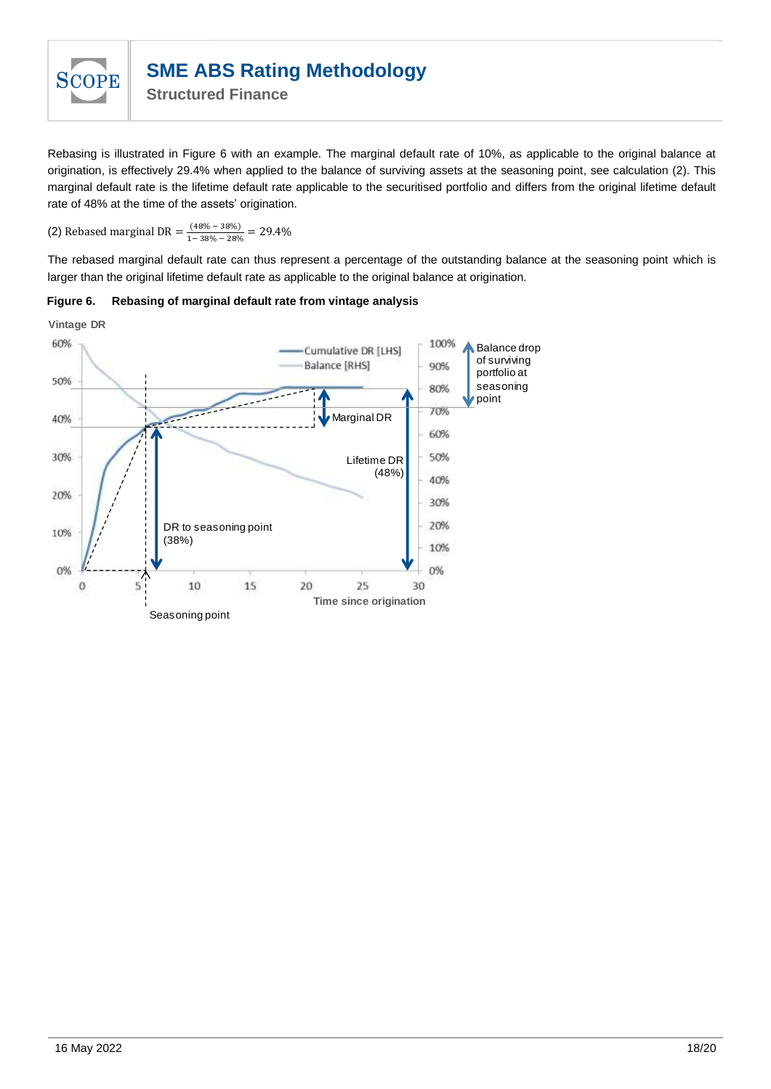

**Structured Finance**

Rebasing is illustrated in [Figure 6](#page-17-0) with an example. The marginal default rate of 10%, as applicable to the original balance at origination, is effectively 29.4% when applied to the balance of surviving assets at the seasoning point, see calculation [\(2\).](#page-17-1) This marginal default rate is the lifetime default rate applicable to the securitised portfolio and differs from the original lifetime default rate of 48% at the time of the assets' origination.

<span id="page-17-1"></span>(2) Rebased marginal DR =  $\frac{(48\% - 38\%)}{(1,30\%) - 30\%}$  $\frac{(46\% - 36\%)}{1 - 38\% - 28\%} = 29.4\%$ 

The rebased marginal default rate can thus represent a percentage of the outstanding balance at the seasoning point which is larger than the original lifetime default rate as applicable to the original balance at origination.



<span id="page-17-0"></span>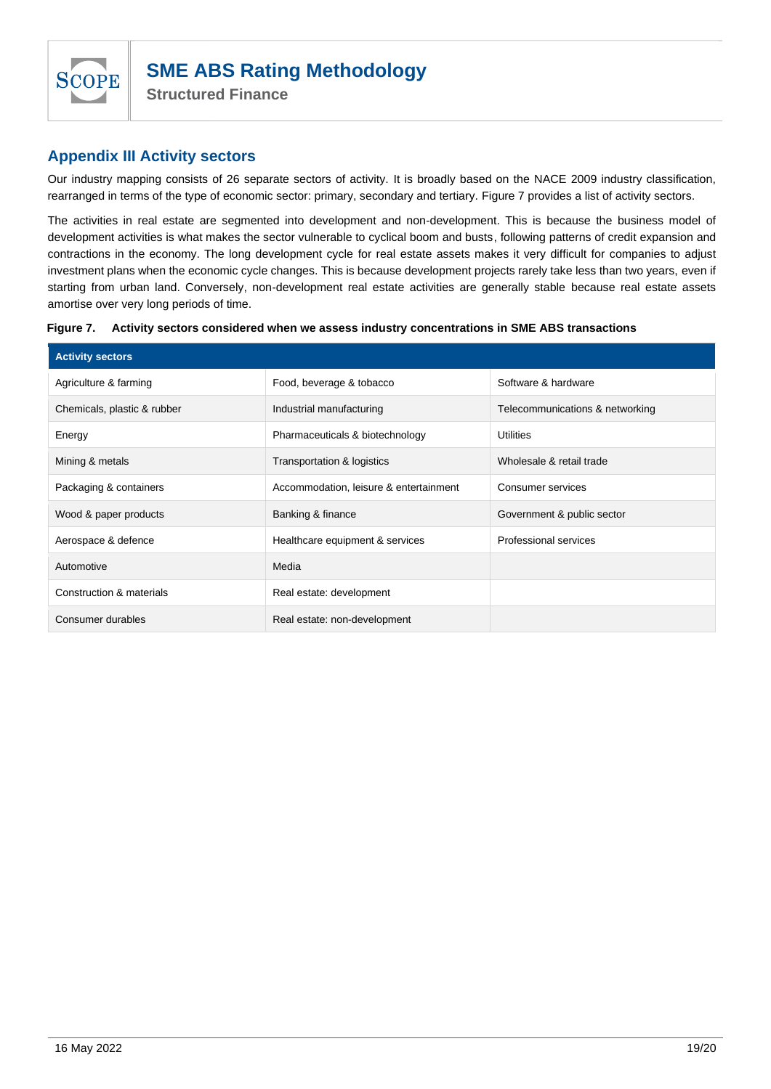

## <span id="page-18-0"></span>**Appendix III Activity sectors**

Our industry mapping consists of 26 separate sectors of activity. It is broadly based on the NACE 2009 industry classification, rearranged in terms of the type of economic sector: primary, secondary and tertiary. [Figure 7](#page-18-1) provides a list of activity sectors.

The activities in real estate are segmented into development and non-development. This is because the business model of development activities is what makes the sector vulnerable to cyclical boom and busts, following patterns of credit expansion and contractions in the economy. The long development cycle for real estate assets makes it very difficult for companies to adjust investment plans when the economic cycle changes. This is because development projects rarely take less than two years, even if starting from urban land. Conversely, non-development real estate activities are generally stable because real estate assets amortise over very long periods of time.

<span id="page-18-1"></span>

|  | Figure 7. Activity sectors considered when we assess industry concentrations in SME ABS transactions |
|--|------------------------------------------------------------------------------------------------------|
|  |                                                                                                      |

| <b>Activity sectors</b>     |                                        |                                 |  |  |
|-----------------------------|----------------------------------------|---------------------------------|--|--|
| Agriculture & farming       | Food, beverage & tobacco               | Software & hardware             |  |  |
| Chemicals, plastic & rubber | Industrial manufacturing               | Telecommunications & networking |  |  |
| Energy                      | Pharmaceuticals & biotechnology        | <b>Utilities</b>                |  |  |
| Mining & metals             | Transportation & logistics             | Wholesale & retail trade        |  |  |
| Packaging & containers      | Accommodation, leisure & entertainment | Consumer services               |  |  |
| Wood & paper products       | Banking & finance                      | Government & public sector      |  |  |
| Aerospace & defence         | Healthcare equipment & services        | Professional services           |  |  |
| Automotive                  | Media                                  |                                 |  |  |
| Construction & materials    | Real estate: development               |                                 |  |  |
| Consumer durables           | Real estate: non-development           |                                 |  |  |